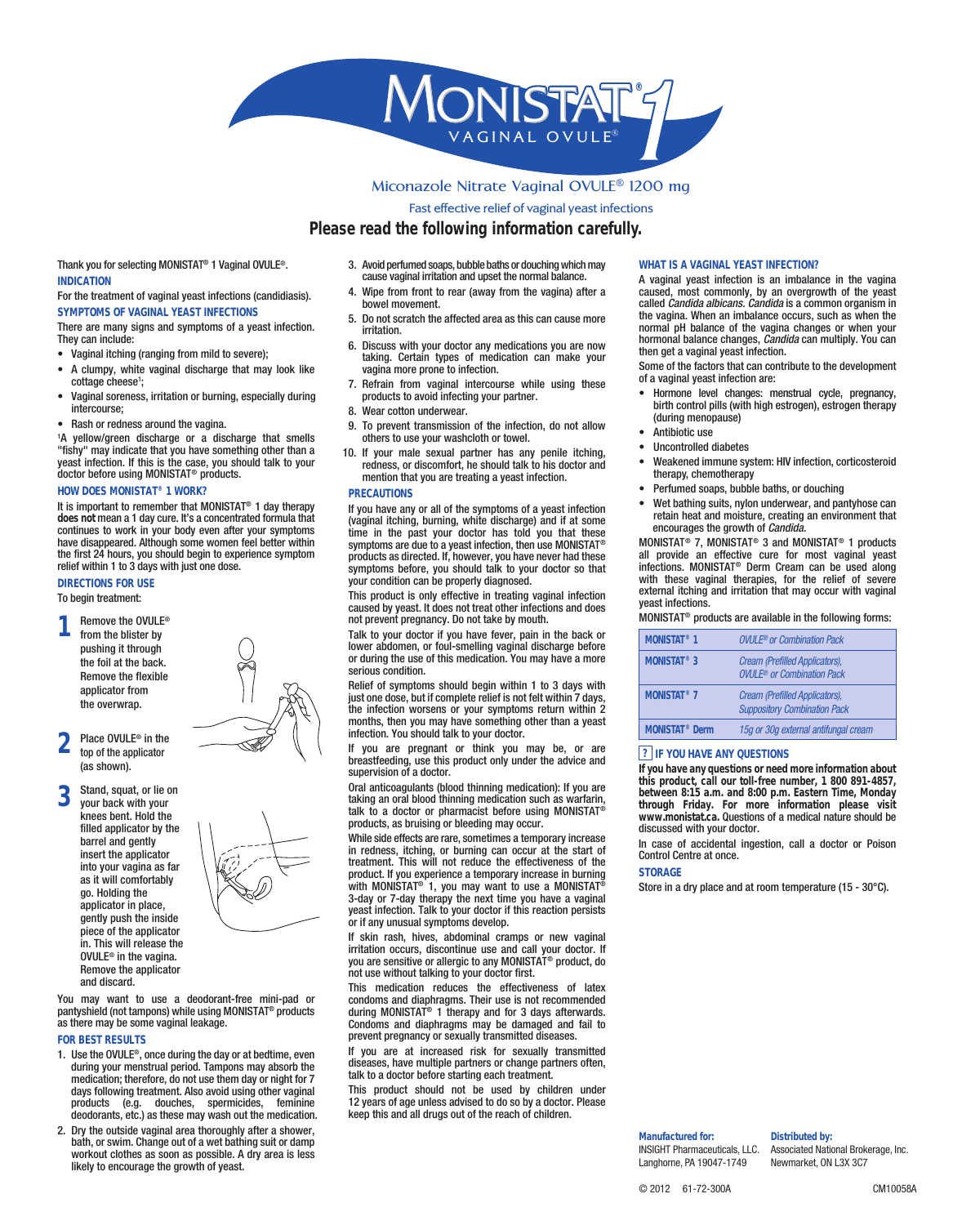

Pleasereadthe following information carefully.

2 1 ) F YOU ARE PREGNANT OR THINA FYOU ARE PREGNANT OR THING VOULA AND BIFESTORS ARE<br>BREASTFEEDING USE THIS PRODUCT ON LY UNDER THE ADVICE AND<br>supervision of a doctor. Thank you for selecting MONISTA/aginal OVULE INDICATION For the treatment of vaginal yeast infections (candidiasis). SYMPTOMS OF VAGINAL YEAST INFECTIONS There are many signs and symptoms of a yeast infection. irritation.<br>They can include: They can include: s 6AGINAL ITCHING RANGING FROM MAIL DIG SERFERE s ! CLUMPY WHITE VAGINAL DISCH∨aAgnRnaGneTpHoAneTtoMin/neActionLOOK LIKE cottage chee<del>s</del>e s 6AGINAL SORENESS IRRITATION **poroductsurandioNicide**cthEn**gsyPuerfoammete**LYDURING<sup>®</sup> INTERCOURSE S 2 A SHOR REDNESS AROUND THE VALOUND PAREVENT TRANSMISSION OF THE VELLOW GREEN DISCHARGE OR AODINSECRISATED STELLY TRANSMISSION OF THE VELLOW GREEN DISCHARGE OR AODINSECRISATED STELLY TO USRMISSION OF THE VELLOW GREEN DIS HOW DOES MONISTIAWORK? TIS IMPORTANT TO REMUSIMITATED THANGU have any of all of the symptoms of a yeast infect does not mean a 1 day cure. It's a concentrated formula that VAGINAL ITCHING BURNING WHORE WE CONTINUES TO WORK IN YOUR BORNER WERE DE DIRECTIONS FOR USE 4OBEGINTREATMENT 9OU MAY WANT TO USE A DEODGOMENOMMETENTERREGOMMENTHEPIONSPISPOOR<br>PANTYSHIELD NOT TAMPTOONDBUCtSVHILLENEING/BNONNIGTPAT.)3FH!ERAPYAND<br>AS THEREMAYBE SOMEVAGINALLEADAWDOMES AND DIAPHRAGM FOR BEST RESULTS 1. Use the OVULE ON CEDURING THE DAY OF RAY USE TO THE MENT DURING YOUR MENSTRUAL PERIOD OF NATIONAL PRIODATE<br>DURING YOUR MEDICATHER TO NOTHER TO THE REFORARE TO A THE REFORARE TO A THE REFORARE TO A THE REFORARE TO A N<br>DA PRODUCTS EG DOUCHES SPEYGEMPIRS AGEEMINNLENSES DEODOR ANTS ETC AS THESE MIkeep WISA 380Hall@INU grs o Tui+DEtheMeGalChIOf Antichem N \$RY THE OUTSIDE VAGINAL AREA THOROUGHLY AFTER A SHOWER<br>BATH OR SWIM #HANGE OUT OF A WET BATHING SUIT OR DAMP<br>WORKOUT CLOTHES AS SOON AS POSSIBLE ! DRY AREA IS LESS<br>LIKELY TO ENCOURAGE THE GROWTH OF YEAST !VOID PERFUMED SOAPS BUBBLE BAAFTA-TSSOAR/ADSONLUICY-HEMASGINWFEKTOTOHNMAY CAUSE VAGINAL IRRITATION AND UPSETGINTHEL WORRWAL PAVELLEY WORD IS AN 7 IP E FROM FRONT TO REAR AWGAAYU **BEO**M MTGHETVGAGINANAON-LEYTEBRYAAN O BOWEL MOVEMENT 5. Do not scratch the affected area as this can cause more THE VAGINA 7HEN AN IMBALANCE OR<br>NORMAL P(BALANCE OF THE VAGIN) <sup>1</sup> irritation. SISCUSS WITH YOUR DOCTOR ANY WE**DI**CATIONS WERE WOW<br>DMTAINHING OPERFAIN TYPES OF MEDICING PRONE DETHE FACTORS THAT C 2 EFRAIN FROM VAGINAL INTER<sup>OL</sup>OVACION LESSE. 7EAR COTTON UNDERWEAR VA4OOINAPREVENT TRANSMISSION OF THE INNEE CITY ON EDONOT ALLOW<br>A OD HSEORHSAROG EUSTEH AXOUSRMASHEALSSHCLOTHORTOWEL.... a )F YOUR MALE SEXUAL PARTNER "HA"S" 'ANYY PENILE' TTCHING<br>E CRÉBNÉ SU DIROLLEC OMFORDE DE HEUSSHOULDE HALLE GOGTEN AND<br>mention that you are treating a yeast infection. therapy CHEMOTHERAPY PRECAUTIONS Through the symptoms of a yeast infection<sup>2</sup><br>A MO IN A LITCHING BURNING FREE AND HEAT AND NO ISTURE FOR<br>A MEQUAL LITCHING HAS GIVEN THROWTHOUR COURAGES THE GROWTH OF FCR<br>A MY CONDITION SEE ON THE COULD INFORMED IN THE WAY This product is only effective in treating vaginal infection EATERNAL TIURING AND TRRITATION<br>CAUSED BY YEAST )T DOES NOT T冷管冲空的车 IRFECTIONS AND DOES<br>NOT PREVENT PREGNANCY \$O NOMONART BROMIGUE ARE AVAILABLE IN 4ALK TO YOUR DOCTOR IF YOU HAMONS TO A COMPUTE COMPUTATION AND OR 4 A L K TO YOUR DOCTOR IF YOU HAMMONSTAT® 1 OVULLED TO MONETARING MELLOWER ABDOMEN OR FOUL SMELL MONSTAT® 1 OVULLED TO MINIMAL OR or during the use of this medication. You may have a more MONSTAT® 3 serious condition. 2 ELIEF OF SYMPTOMS SHOULD BE<br>JUSTONE DOSE BUT IF COMPLETE MONSTAT® 7 Oream (Problectorination Pack DAYS DAYS<br>THE INFECTION WORSENS OR YOU Suppositoy Commination Pack MONTHS THEN YOU MAY HAVE SOMETHING THE RANGE RETAINING THE RANGE RETAILS TO MONTH infection. You should talk to your doctor. RAL ANTICOAGULANTS BLOOD THURMENTS OF BUNGANOR FOUR TALK TO A DRAFT<br>TAKING AN ORAL BLOOD THINNING PREAD TEAT TO A DOCTOR<br>TALK TO A DOCTOR OR PHARMACIST BEFORE UNIVERSITY ON SOFTAR<br>PRODUCTS AS BRUISING OR BLEEWWEINER POGTUB 7HILE SIDE EFFECTS ARE RARE Sometimes a temporary increase up ENTAL INGESTI<br>IN REDNESS ITCHING OR BURNING CAN OG FUR AT THE THE STOF THE PRODUCT )FYOU EXPERIENCE A TSEQMPOERARY INCREASE IN BURNING<br>WITH -/.®,34!4YOU MAY WANT T®O US3ETOARE/.1)NS444-DRY PLACE AND AT RO!<br>DAYOR DAY THERAPY THE NEXT TIME YOU HAVE A VAGINAL yeast infection. Talk to your doctor if this reaction persists or if any unusual symptoms develop. )F SKIN RASH HIVES ABDOMINAL CRAMPS OR NEW VAGINAL<br>IRRITATION OCCURS DISCONTINUE USE AND CALL YOUR DOCTOR<br>youare sensitive orallergicto any MONNISTARO DUCTO DOCTOR FIRST<br>NOT USE WITHOUT TALKING TO YOUR DOCTOR FIRST 4 HIS MEDICATION REDUCES THE EFFECTIVENESS OF LATEX<br>@whRowhandEndEnder Manustried Concerned<br>|dupting|MONNGTAT.)3f4HERAPY AND FOR DAYSAFTERWARDS<br>|bhCONNGAQGMESAND DIAPHRAGMSMAY BE DAMAGED AND FAIL TO<br>PREVENT PREGNANCY OR SE ) FR YOU PORT MAT FINENREASED RISK FOR SEXUALLY TRANSMITTED<br>BISÆANDE ON SIMMEY MULTIPLEFFILARTNERS OR CHANGE PARTNERS OFTEN<br>TALKET PHAND OG VORRBEFORFEFSTARTING EACH TREATMENT .4SHOISA VPORDO DUSCINIG SOHTCHLELPO V MAGITN AS LE USED BY CHILD REN UNDER<br>PEYREMAIS SDOPS A GFEE MINNLENSES ADVISED TO DO SO BY A DOCTOR 0 LEASE called Candida albicans. Candida is a common organism in HORMONALTBANGETHOOHLIPP RABAN<br>Infin get a vaginal yeast infection. E 3OME OF THE FACTORS THAT CAN CO G (ORMONE LEVEL CHANGES MENSTI<br>BIRTH CONTROL PILLS WITH HIGH (during menopause) s !NTIBIOTICUSE sp 2NCONIROPFE'D' 61 JBETE'S **SHOELBENEUX INNIUNE GOETEN** AND IN<br>therapy CHEMOTHERAPY s OERFUMED SOAPS BUBBLE BATHS S 7ET BATHING SUITS NYLON UNDER<br>TERETAIN HEAT AND MOISTURE<br>TENCOURAGES THE GROWTH OF Candid MAQAMISTIPON -7/HPTMP!US/MED/:)76%/ABpirbducts<br>|infeations. MONNTMSTONGENGENGENGENG ATOMITALHYBGSNE<br>|infeations. MONNTMONSNERDYOG/ROEPA ATOMIAHYBGTEU<br>|WIDHA OF NOSEDVAGINAL THERAPIES |<br>|EXTERNAL ITCHING AND IRRITATION<br>|Ge 2 EMOVE THE /65,% NOT PREVENT PREGNANCY \$0 NOMONG RAT BROMING GITALARE AVAILABLE IN IZI F YOU HAVE ANY QUESTIONS If you have any questions or need more information about this product, call-our toll-free pumber, 1-800,891-4857 -<br>between 15-15 - FID and Stude In: Fastern Time, Monday<br>the Helley English Stude In: Fastern Time, Monday<br>http://www.edu.com/helley.html<br>B18 EUSSE D wit TA YOUR DOC IFWIER A SIEVELFILLE AL INGE SFION<br>#ONTROP#ENTREATIONCEOFFILE **SEQRAGE** SBETOARE/.I)NS 4AI 4D R Y P L A C E A N D A T R O O M 3 3 TAND SQUAT OR LIE ON<br>YOUR BACK WITH YOUR<br>KNEES BENT (OLD THE FILLED APPLICATOR BY THE<br>BARREL AND GENTLYinsert the applicator into your vagina as far  $AS$  IT WILL COMPORTABLY go. Holding the APPLICATOR IN PLACE gently push the inside piece of the applicator IN 4HIS WILL RELEASE THE OVULEn the vagina. 2EMOVETHEAPPLICATOR and discard. FROM THE BLISTER BY pushing it through THE FOIL AT THE  $\frac{1}{200}$ CK 2 EMOVE THE FLEX BLE applicator from THEOVERWRAP  $0$  L A C E  $\degree$  / in 6 the  $\%$ top of the applicator ASSHOWN **OVULE** c Combination Pack Cream (PrefedApplicators), OVULE or Combination Reck Cream (PrefedApplicators), **Suppositoy Combination Pack** 15g or 0g exteral anfungal cream Manufactured for: INSIGHT Pharmaceuticals, LAsSociated National Brokerage, Inc. Langhorne, PA 19047-1749 Newmarket, ON L3X 3C7 Distributed by:

CM10058A